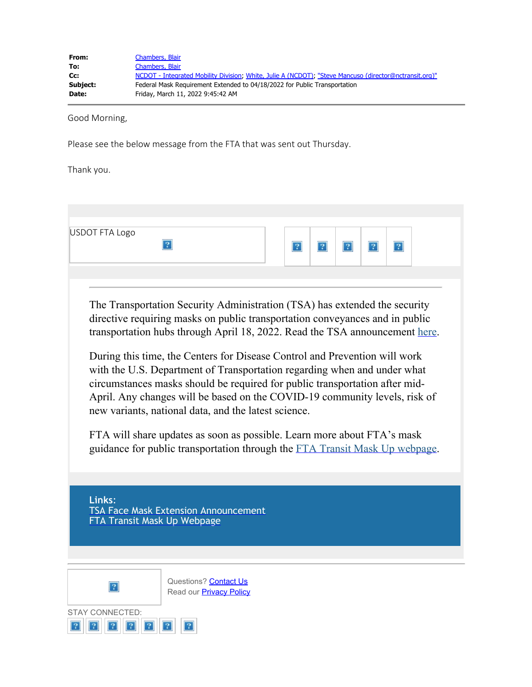| From:    | Chambers, Blair                                                                                        |
|----------|--------------------------------------------------------------------------------------------------------|
| To:      | Chambers, Blair                                                                                        |
| Cc:      | NCDOT - Integrated Mobility Division, White, Julie A (NCDOT), "Steve Mancuso (director@nctransit.org)" |
| Subject: | Federal Mask Requirement Extended to 04/18/2022 for Public Transportation                              |
| Date:    | Friday, March 11, 2022 9:45:42 AM                                                                      |

Good Morning,

Please see the below message from the FTA that was sent out Thursday.

Thank you.

| USDOT FTA Logo                        |                                                                                                                                                                                                                                                                                                                                                                                                                                                                                                                                                                                                                                                                                                                                                                                    |   |          |          |
|---------------------------------------|------------------------------------------------------------------------------------------------------------------------------------------------------------------------------------------------------------------------------------------------------------------------------------------------------------------------------------------------------------------------------------------------------------------------------------------------------------------------------------------------------------------------------------------------------------------------------------------------------------------------------------------------------------------------------------------------------------------------------------------------------------------------------------|---|----------|----------|
|                                       | 2                                                                                                                                                                                                                                                                                                                                                                                                                                                                                                                                                                                                                                                                                                                                                                                  | 2 | 2 <br> 2 | 2 <br> ? |
|                                       |                                                                                                                                                                                                                                                                                                                                                                                                                                                                                                                                                                                                                                                                                                                                                                                    |   |          |          |
|                                       | The Transportation Security Administration (TSA) has extended the security<br>directive requiring masks on public transportation conveyances and in public<br>transportation hubs through April 18, 2022. Read the TSA announcement here.<br>During this time, the Centers for Disease Control and Prevention will work<br>with the U.S. Department of Transportation regarding when and under what<br>circumstances masks should be required for public transportation after mid-<br>April. Any changes will be based on the COVID-19 community levels, risk of<br>new variants, national data, and the latest science.<br>FTA will share updates as soon as possible. Learn more about FTA's mask<br>guidance for public transportation through the FTA Transit Mask Up webpage. |   |          |          |
|                                       |                                                                                                                                                                                                                                                                                                                                                                                                                                                                                                                                                                                                                                                                                                                                                                                    |   |          |          |
| Links:<br>FTA Transit Mask Up Webpage | <b>TSA Face Mask Extension Announcement</b>                                                                                                                                                                                                                                                                                                                                                                                                                                                                                                                                                                                                                                                                                                                                        |   |          |          |
|                                       |                                                                                                                                                                                                                                                                                                                                                                                                                                                                                                                                                                                                                                                                                                                                                                                    |   |          |          |
|                                       | Questions? Contact Us<br>Read our <b>Privacy Policy</b>                                                                                                                                                                                                                                                                                                                                                                                                                                                                                                                                                                                                                                                                                                                            |   |          |          |